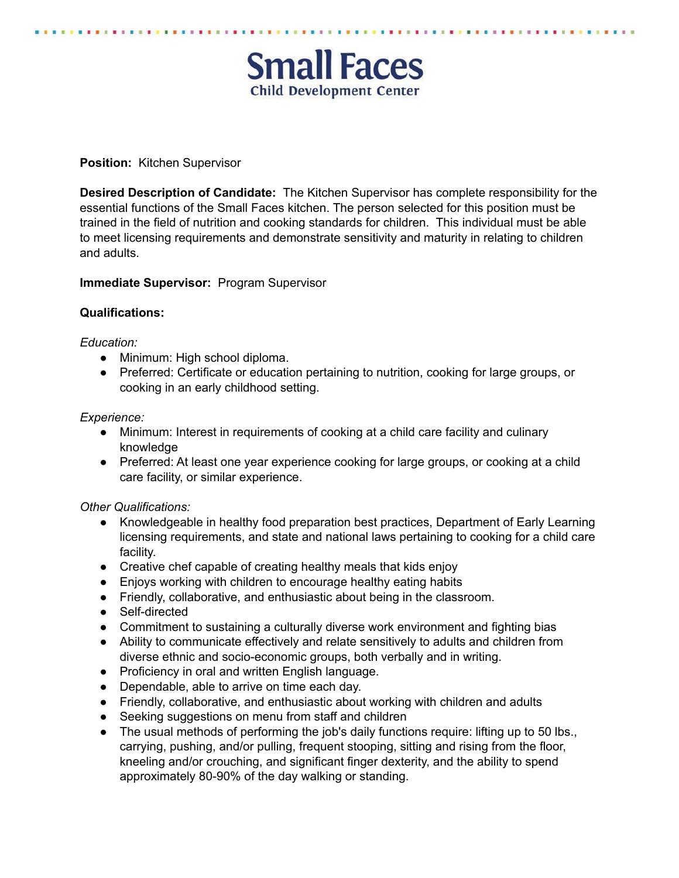# **Small Faces Child Development Center**

## **Position:** Kitchen Supervisor

**Desired Description of Candidate:** The Kitchen Supervisor has complete responsibility for the essential functions of the Small Faces kitchen. The person selected for this position must be trained in the field of nutrition and cooking standards for children. This individual must be able to meet licensing requirements and demonstrate sensitivity and maturity in relating to children and adults.

#### **Immediate Supervisor:** Program Supervisor

#### **Qualifications:**

#### *Education:*

- Minimum: High school diploma.
- Preferred: Certificate or education pertaining to nutrition, cooking for large groups, or cooking in an early childhood setting.

#### *Experience:*

- Minimum: Interest in requirements of cooking at a child care facility and culinary knowledge
- Preferred: At least one year experience cooking for large groups, or cooking at a child care facility, or similar experience.

## *Other Qualifications:*

- Knowledgeable in healthy food preparation best practices, Department of Early Learning licensing requirements, and state and national laws pertaining to cooking for a child care facility.
- Creative chef capable of creating healthy meals that kids enjoy
- Enjoys working with children to encourage healthy eating habits
- Friendly, collaborative, and enthusiastic about being in the classroom.
- Self-directed
- Commitment to sustaining a culturally diverse work environment and fighting bias
- Ability to communicate effectively and relate sensitively to adults and children from diverse ethnic and socio-economic groups, both verbally and in writing.
- Proficiency in oral and written English language.
- Dependable, able to arrive on time each day.
- Friendly, collaborative, and enthusiastic about working with children and adults
- Seeking suggestions on menu from staff and children
- The usual methods of performing the job's daily functions require: lifting up to 50 lbs., carrying, pushing, and/or pulling, frequent stooping, sitting and rising from the floor, kneeling and/or crouching, and significant finger dexterity, and the ability to spend approximately 80-90% of the day walking or standing.